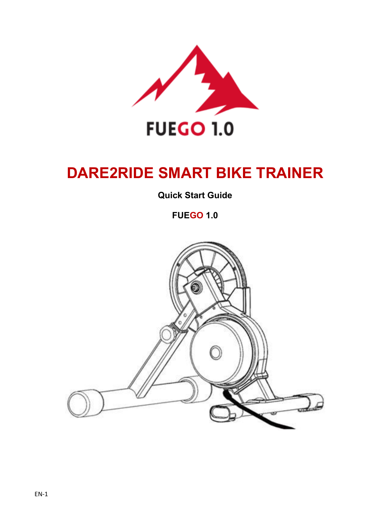

# **DARE2RIDE SMART BIKE TRAINER**

**Quick Start Guide**

**FUEGO 1.0**

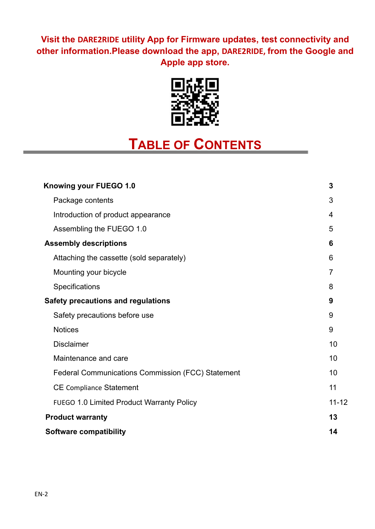### **Visit the DARE2RIDE utility App for Firmware updates, test connectivity and other information.Please download the app, DARE2RIDE, from the Google and Apple app store.**



# **TABLE OF CONTENTS**

|  | Knowing your FUEGO 1.0                                   | 3              |
|--|----------------------------------------------------------|----------------|
|  | Package contents                                         | 3              |
|  | Introduction of product appearance                       | 4              |
|  | Assembling the FUEGO 1.0                                 | 5              |
|  | <b>Assembly descriptions</b>                             | 6              |
|  | Attaching the cassette (sold separately)                 | 6              |
|  | Mounting your bicycle                                    | $\overline{7}$ |
|  | Specifications                                           | 8              |
|  | <b>Safety precautions and regulations</b>                | 9              |
|  | Safety precautions before use                            | 9              |
|  | <b>Notices</b>                                           | 9              |
|  | <b>Disclaimer</b>                                        | 10             |
|  | Maintenance and care                                     | 10             |
|  | <b>Federal Communications Commission (FCC) Statement</b> | 10             |
|  | <b>CE Compliance Statement</b>                           | 11             |
|  | <b>FUEGO 1.0 Limited Product Warranty Policy</b>         | $11 - 12$      |
|  | <b>Product warranty</b>                                  | 13             |
|  | <b>Software compatibility</b>                            | 14             |
|  |                                                          |                |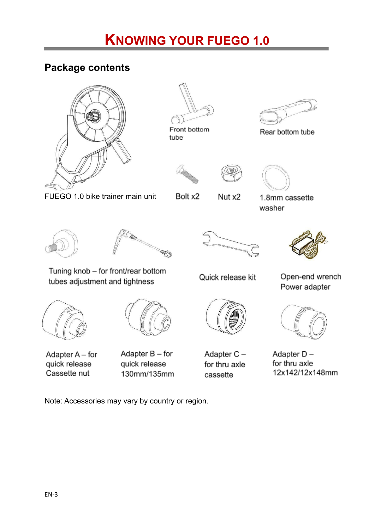## **Package contents**







Bolt x2



Rear bottom tube

1.8mm cassette

washer



Tuning knob - for front/rear bottom

tubes adjustment and tightness



Nut x2



Quick release kit



Adapter A - for quick release Cassette nut

Adapter  $B$  – for quick release 130mm/135mm



Adapter C for thru axle cassette

Open-end wrench Power adapter



Adapter Dfor thru axle 12x142/12x148mm

Note: Accessories may vary by country or region.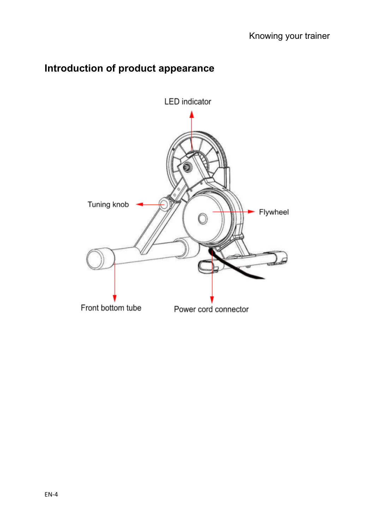## **Introduction of product appearance**

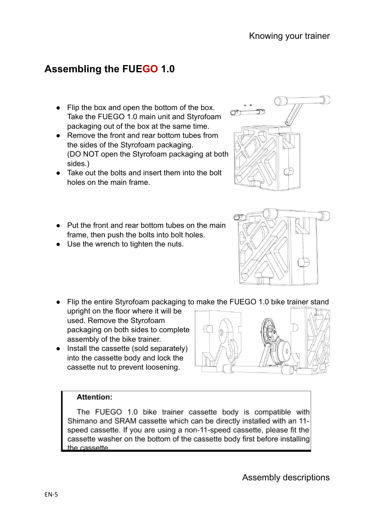Assembly descriptions

## **Assembling the FUEGO 1.0**

- Flip the box and open the bottom of the box. Take the FUEGO 1.0 main unit and Styrofoam packaging out of the box at the same time.
- Remove the front and rear bottom tubes from the sides of the Styrofoam packaging. (DO NOT open the Styrofoam packaging at both sides.)
- Take out the bolts and insert them into the bolt holes on the main frame.
- Put the front and rear bottom tubes on the main frame, then push the bolts into bolt holes.
- Use the wrench to tighten the nuts.
- Flip the entire Styrofoam packaging to make the FUEGO 1.0 bike trainer stand
- upright on the floor where it will be used. Remove the Styrofoam packaging on both sides to complete assembly of the bike trainer.
- Install the cassette (sold separately) into the cassette body and lock the cassette nut to prevent loosening.

#### **Attention:**

The FUEGO 1.0 bike trainer cassette body is compatible with Shimano and SRAM cassette which can be directly installed with an 11speed cassette. If you are using a non-11-speed cassette, please fit the cassette washer on the bottom of the cassette body first before installing the cassette.





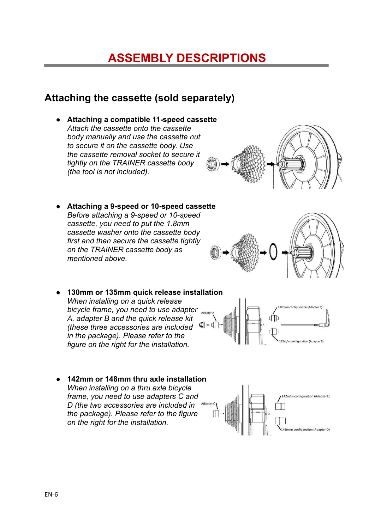## **ASSEMBLY DESCRIPTIONS**

### **Attaching the cassette (sold separately)**

**● Attaching a compatible 11-speed cassette** *Attach the cassette onto the cassette body manually and use the cassette nut to secure it on the cassette body. Use the cassette removal socket to secure it tightly on the TRAINER cassette body (the tool is not included).*



- **● Attaching a 9-speed or 10-speed cassette** *Before attaching a 9-speed or 10-speed cassette, you need to put the 1.8mm cassette washer onto the cassette body first and then secure the cassette tightly on the TRAINER cassette body as mentioned above.*
- *●* **130mm or 135mm quick release installation** *When installing on a quick release bicycle frame, you need to use adapter A, adapter B and the quick release kit (these three accessories are included in the package). Please refer to the figure on the right for the installation.*
	-
- **● 142mm or 148mm thru axle installation** *When installing on a thru axle bicycle frame, you need to use adapters C and D (the two accessories are included in the package). Please refer to the figure on the right for the installation.*

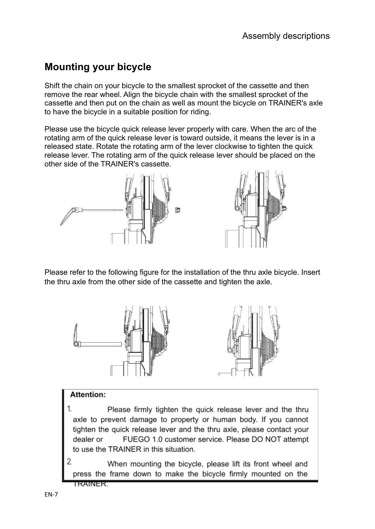## **Mounting your bicycle**

Shift the chain on your bicycle to the smallest sprocket of the cassette and then remove the rear wheel. Align the bicycle chain with the smallest sprocket of the cassette and then put on the chain as well as mount the bicycle on TRAINER's axle to have the bicycle in a suitable position for riding.

Please use the bicycle quick release lever properly with care. When the arc of the rotating arm of the quick release lever is toward outside, it means the lever is in a released state. Rotate the rotating arm of the lever clockwise to tighten the quick release lever. The rotating arm of the quick release lever should be placed on the other side of the TRAINER's cassette.



Please refer to the following figure for the installation of the thru axle bicycle. Insert the thru axle from the other side of the cassette and tighten the axle.



#### Attention:

- Please firmly tighten the quick release lever and the thru axle to prevent damage to property or human body. If you cannot tighten the quick release lever and the thru axle, please contact your FUEGO 1.0 customer service. Please DO NOT attempt dealer or to use the TRAINER in this situation.
- $\overline{\mathcal{L}}$ When mounting the bicycle, please lift its front wheel and press the frame down to make the bicycle firmly mounted on the TRAINER.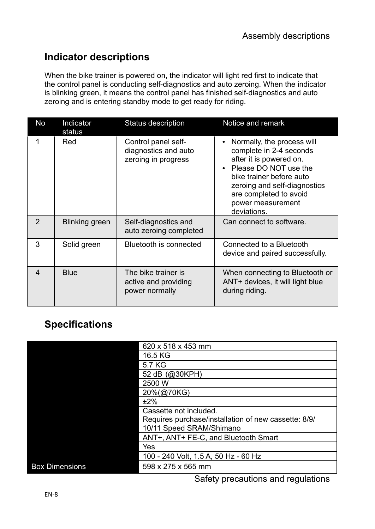## **Indicator descriptions**

When the bike trainer is powered on, the indicator will light red first to indicate that the control panel is conducting self-diagnostics and auto zeroing. When the indicator is blinking green, it means the control panel has finished self-diagnostics and auto zeroing and is entering standby mode to get ready for riding.

| No                      | Indicator<br>status | Status description                                                 | Notice and remark                                                                                                                                                                                                                   |
|-------------------------|---------------------|--------------------------------------------------------------------|-------------------------------------------------------------------------------------------------------------------------------------------------------------------------------------------------------------------------------------|
|                         | Red                 | Control panel self-<br>diagnostics and auto<br>zeroing in progress | Normally, the process will<br>complete in 2-4 seconds<br>after it is powered on.<br>Please DO NOT use the<br>bike trainer before auto<br>zeroing and self-diagnostics<br>are completed to avoid<br>power measurement<br>deviations. |
| $\overline{2}$          | Blinking green      | Self-diagnostics and<br>auto zeroing completed                     | Can connect to software.                                                                                                                                                                                                            |
| 3                       | Solid green         | Bluetooth is connected                                             | Connected to a Bluetooth<br>device and paired successfully.                                                                                                                                                                         |
| $\overline{\mathbf{4}}$ | <b>Blue</b>         | The bike trainer is<br>active and providing<br>power normally      | When connecting to Bluetooth or<br>ANT+ devices, it will light blue<br>during riding.                                                                                                                                               |

## **Specifications**

|                       | 620 x 518 x 453 mm                                   |
|-----------------------|------------------------------------------------------|
|                       | 16.5 KG                                              |
|                       | 5.7 KG                                               |
|                       | 52 dB (@30KPH)                                       |
|                       | 2500 W                                               |
|                       | 20%(@70KG)                                           |
|                       | ±2%                                                  |
|                       | Cassette not included.                               |
|                       | Requires purchase/installation of new cassette: 8/9/ |
|                       | 10/11 Speed SRAM/Shimano                             |
|                       | ANT+, ANT+ FE-C, and Bluetooth Smart                 |
|                       | Yes                                                  |
|                       | 100 - 240 Volt, 1.5 A, 50 Hz - 60 Hz                 |
| <b>Box Dimensions</b> | 598 x 275 x 565 mm                                   |
|                       |                                                      |

Safety precautions and regulations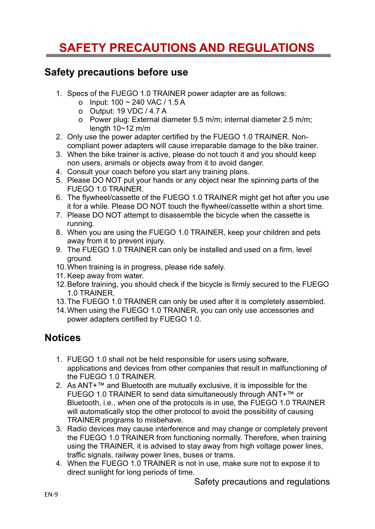## **SAFETY PRECAUTIONS AND REGULATIONS**

#### **Safety precautions before use**

- 1. Specs of the FUEGO 1.0 TRAINER power adapter are as follows:
	- o Input: 100 ~ 240 VAC / 1.5 A
	- o Output: 19 VDC / 4.7 A
	- o Power plug: External diameter 5.5 m/m; internal diameter 2.5 m/m; length  $10~12$  m/m
- 2. Only use the power adapter certified by the FUEGO 1.0 TRAINER. Noncompliant power adapters will cause irreparable damage to the bike trainer.
- 3. When the bike trainer is active, please do not touch it and you should keep non users, animals or objects away from it to avoid danger.
- 4. Consult your coach before you start any training plans.
- 5. Please DO NOT put your hands or any object near the spinning parts of the FUEGO 1.0 TRAINER.
- 6. The flywheel/cassette of the FUEGO 1.0 TRAINER might get hot after you use it for a while. Please DO NOT touch the flywheel/cassette within a short time.
- 7. Please DO NOT attempt to disassemble the bicycle when the cassette is running.
- 8. When you are using the FUEGO 1.0 TRAINER, keep your children and pets away from it to prevent injury.
- 9. The FUEGO 1.0 TRAINER can only be installed and used on a firm, level ground.
- 10.When training is in progress, please ride safely.
- 11. Keep away from water.
- 12.Before training, you should check if the bicycle is firmly secured to the FUEGO 1.0 TRAINER.
- 13.The FUEGO 1.0 TRAINER can only be used after it is completely assembled.
- 14.When using the FUEGO 1.0 TRAINER, you can only use accessories and power adapters certified by FUEGO 1.0.

## **Notices**

- 1. FUEGO 1.0 shall not be held responsible for users using software, applications and devices from other companies that result in malfunctioning of the FUEGO 1.0 TRAINER.
- 2. As ANT+™ and Bluetooth are mutually exclusive, it is impossible for the FUEGO 1.0 TRAINER to send data simultaneously through ANT+™ or Bluetooth, i.e., when one of the protocols is in use, the FUEGO 1.0 TRAINER will automatically stop the other protocol to avoid the possibility of causing TRAINER programs to misbehave.
- 3. Radio devices may cause interference and may change or completely prevent the FUEGO 1.0 TRAINER from functioning normally. Therefore, when training using the TRAINER, it is advised to stay away from high voltage power lines, traffic signals, railway power lines, buses or trams.
- 4. When the FUEGO 1.0 TRAINER is not in use, make sure not to expose it to direct sunlight for long periods of time.

Safety precautions and regulations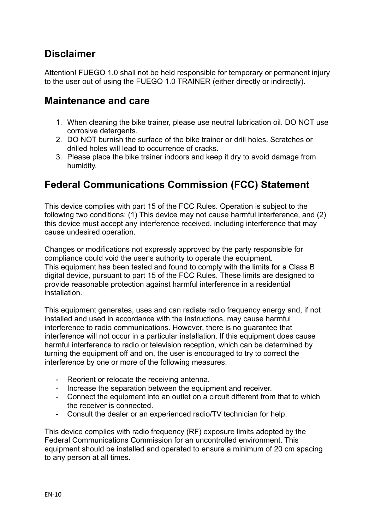### **Disclaimer**

Attention! FUEGO 1.0 shall not be held responsible for temporary or permanent injury to the user out of using the FUEGO 1.0 TRAINER (either directly or indirectly).

#### **Maintenance and care**

- 1. When cleaning the bike trainer, please use neutral lubrication oil. DO NOT use corrosive detergents.
- 2. DO NOT burnish the surface of the bike trainer or drill holes. Scratches or drilled holes will lead to occurrence of cracks.
- 3. Please place the bike trainer indoors and keep it dry to avoid damage from humidity.

## **Federal Communications Commission (FCC) Statement**

This device complies with part 15 of the FCC Rules. Operation is subject to the following two conditions: (1) This device may not cause harmful interference, and (2) this device must accept any interference received, including interference that may cause undesired operation.

Changes or modifications not expressly approved by the party responsible for compliance could void the user's authority to operate the equipment. This equipment has been tested and found to comply with the limits for a Class B digital device, pursuant to part 15 of the FCC Rules. These limits are designed to provide reasonable protection against harmful interference in a residential installation.

This equipment generates, uses and can radiate radio frequency energy and, if not installed and used in accordance with the instructions, may cause harmful interference to radio communications. However, there is no guarantee that interference will not occur in a particular installation. If this equipment does cause harmful interference to radio or television reception, which can be determined by turning the equipment off and on, the user is encouraged to try to correct the interference by one or more of the following measures:

- Reorient or relocate the receiving antenna.
- Increase the separation between the equipment and receiver.
- Connect the equipment into an outlet on a circuit different from that to which the receiver is connected.
- Consult the dealer or an experienced radio/TV technician for help.

This device complies with radio frequency (RF) exposure limits adopted by the Federal Communications Commission for an uncontrolled environment. This equipment should be installed and operated to ensure a minimum of 20 cm spacing to any person at all times.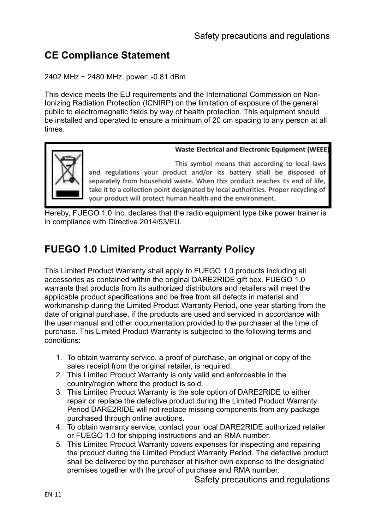## **CE Compliance Statement**

#### 2402 MHz ~ 2480 MHz, power: -0.81 dBm

This device meets the EU requirements and the International Commission on Non-Ionizing Radiation Protection (ICNIRP) on the limitation of exposure of the general public to electromagnetic fields by way of health protection. This equipment should be installed and operated to ensure a minimum of 20 cm spacing to any person at all times.



**Waste Electrical and Electronic Equipment (WEEE)** 

This symbol means that according to local laws and regulations your product and/or its battery shall be disposed of separately from household waste. When this product reaches its end of life, take it to a collection point designated by local authorities. Proper recycling of your product will protect human health and the environment.

Hereby, FUEGO 1.0 Inc. declares that the radio equipment type bike power trainer is in compliance with Directive 2014/53/EU.

## **FUEGO 1.0 Limited Product Warranty Policy**

This Limited Product Warranty shall apply to FUEGO 1.0 products including all accessories as contained within the original DARE2RIDE gift box. FUEGO 1.0 warrants that products from its authorized distributors and retailers will meet the applicable product specifications and be free from all defects in material and workmanship during the Limited Product Warranty Period, one year starting from the date of original purchase, if the products are used and serviced in accordance with the user manual and other documentation provided to the purchaser at the time of purchase. This Limited Product Warranty is subjected to the following terms and conditions:

- 1. To obtain warranty service, a proof of purchase, an original or copy of the sales receipt from the original retailer, is required.
- 2. This Limited Product Warranty is only valid and enforceable in the country/region where the product is sold.
- 3. This Limited Product Warranty is the sole option of DARE2RIDE to either repair or replace the defective product during the Limited Product Warranty Period DARE2RIDE will not replace missing components from any package purchased through online auctions.
- 4. To obtain warranty service, contact your local DARE2RIDE authorized retailer or FUEGO 1.0 for shipping instructions and an RMA number.
- 5. This Limited Product Warranty covers expenses for inspecting and repairing the product during the Limited Product Warranty Period. The defective product shall be delivered by the purchaser at his/her own expense to the designated premises together with the proof of purchase and RMA number.

Safety precautions and regulations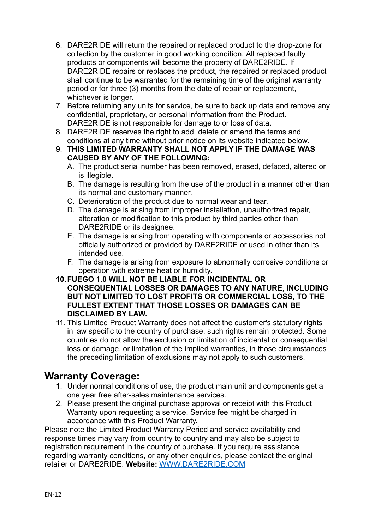- 6. DARE2RIDE will return the repaired or replaced product to the drop-zone for collection by the customer in good working condition. All replaced faulty products or components will become the property of DARE2RIDE. If DARE2RIDE repairs or replaces the product, the repaired or replaced product shall continue to be warranted for the remaining time of the original warranty period or for three (3) months from the date of repair or replacement, whichever is longer.
- 7. Before returning any units for service, be sure to back up data and remove any confidential, proprietary, or personal information from the Product. DARE2RIDE is not responsible for damage to or loss of data.
- 8. DARE2RIDE reserves the right to add, delete or amend the terms and conditions at any time without prior notice on its website indicated below.
- 9. **THIS LIMITED WARRANTY SHALL NOT APPLY IF THE DAMAGE WAS CAUSED BY ANY OF THE FOLLOWING:**
	- A. The product serial number has been removed, erased, defaced, altered or is illegible.
	- B. The damage is resulting from the use of the product in a manner other than its normal and customary manner.
	- C. Deterioration of the product due to normal wear and tear.
	- D. The damage is arising from improper installation, unauthorized repair, alteration or modification to this product by third parties other than DARE2RIDE or its designee.
	- E. The damage is arising from operating with components or accessories not officially authorized or provided by DARE2RIDE or used in other than its intended use.
	- F. The damage is arising from exposure to abnormally corrosive conditions or operation with extreme heat or humidity.
- **10.FUEGO 1.0 WILL NOT BE LIABLE FOR INCIDENTAL OR CONSEQUENTIAL LOSSES OR DAMAGES TO ANY NATURE, INCLUDING BUT NOT LIMITED TO LOST PROFITS OR COMMERCIAL LOSS, TO THE FULLEST EXTENT THAT THOSE LOSSES OR DAMAGES CAN BE DISCLAIMED BY LAW.**
- 11. This Limited Product Warranty does not affect the customer's statutory rights in law specific to the country of purchase, such rights remain protected. Some countries do not allow the exclusion or limitation of incidental or consequential loss or damage, or limitation of the implied warranties, in those circumstances the preceding limitation of exclusions may not apply to such customers.

#### **Warranty Coverage:**

- 1. Under normal conditions of use, the product main unit and components get a one year free after-sales maintenance services.
- 2. Please present the original purchase approval or receipt with this Product Warranty upon requesting a service. Service fee might be charged in accordance with this Product Warranty.

Please note the Limited Product Warranty Period and service availability and response times may vary from country to country and may also be subject to registration requirement in the country of purchase. If you require assistance regarding warranty conditions, or any other enquiries, please contact the original retailer or DARE2RIDE. **Website:** [WWW.DARE2RIDE.COM](http://www.dare2ride.com)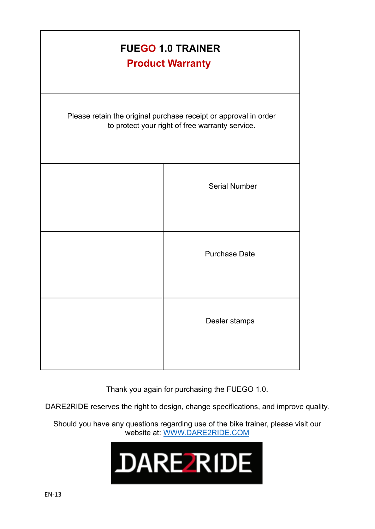| <b>FUEGO 1.0 TRAINER</b><br><b>Product Warranty</b>                                                                 |
|---------------------------------------------------------------------------------------------------------------------|
| Please retain the original purchase receipt or approval in order<br>to protect your right of free warranty service. |
| <b>Serial Number</b>                                                                                                |
| <b>Purchase Date</b>                                                                                                |
| Dealer stamps                                                                                                       |

Thank you again for purchasing the FUEGO 1.0.

DARE2RIDE reserves the right to design, change specifications, and improve quality.

Should you have any questions regarding use of the bike trainer, please visit our website at: [WWW.DARE2RIDE.COM](http://www.dare2ride.com)